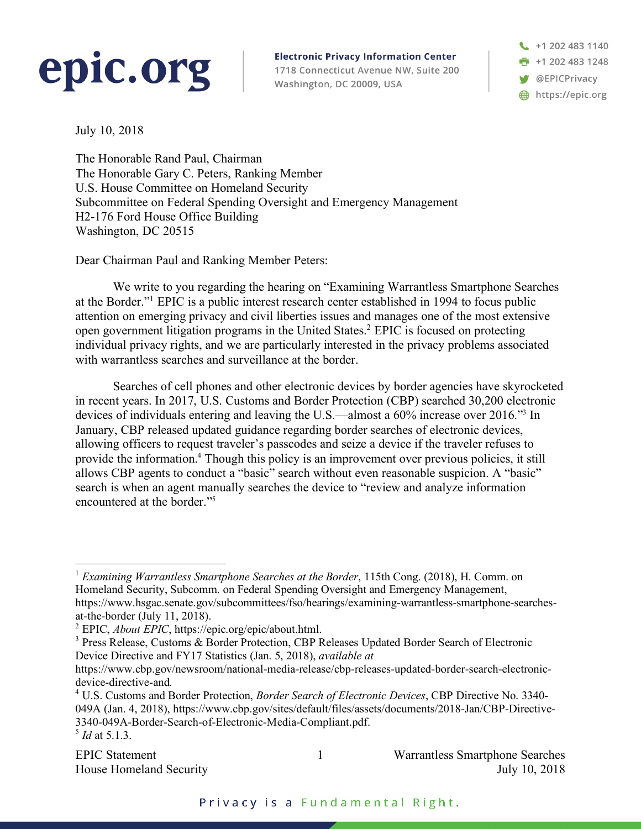## epic.org

**Electronic Privacy Information Center** 1718 Connecticut Avenue NW, Suite 200 Washington, DC 20009, USA

+1 202 483 1140  $+12024831248$ **W** @EPICPrivacy https://epic.org

July 10, 2018

The Honorable Rand Paul, Chairman The Honorable Gary C. Peters, Ranking Member U.S. House Committee on Homeland Security Subcommittee on Federal Spending Oversight and Emergency Management H2-176 Ford House Office Building Washington, DC 20515

Dear Chairman Paul and Ranking Member Peters:

We write to you regarding the hearing on "Examining Warrantless Smartphone Searches at the Border."1 EPIC is a public interest research center established in 1994 to focus public attention on emerging privacy and civil liberties issues and manages one of the most extensive open government litigation programs in the United States. <sup>2</sup> EPIC is focused on protecting individual privacy rights, and we are particularly interested in the privacy problems associated with warrantless searches and surveillance at the border.

Searches of cell phones and other electronic devices by border agencies have skyrocketed in recent years. In 2017, U.S. Customs and Border Protection (CBP) searched 30,200 electronic devices of individuals entering and leaving the U.S.—almost a 60% increase over 2016."3 In January, CBP released updated guidance regarding border searches of electronic devices, allowing officers to request traveler's passcodes and seize a device if the traveler refuses to provide the information.4 Though this policy is an improvement over previous policies, it still allows CBP agents to conduct a "basic" search without even reasonable suspicion. A "basic" search is when an agent manually searches the device to "review and analyze information encountered at the border."5

 <sup>1</sup> *Examining Warrantless Smartphone Searches at the Border*, 115th Cong. (2018), H. Comm. on Homeland Security, Subcomm. on Federal Spending Oversight and Emergency Management, https://www.hsgac.senate.gov/subcommittees/fso/hearings/examining-warrantless-smartphone-searchesat-the-border (July 11, 2018).

<sup>2</sup> EPIC, *About EPIC*, https://epic.org/epic/about.html.

<sup>&</sup>lt;sup>3</sup> Press Release, Customs & Border Protection, CBP Releases Updated Border Search of Electronic Device Directive and FY17 Statistics (Jan. 5, 2018), *available at* 

https://www.cbp.gov/newsroom/national-media-release/cbp-releases-updated-border-search-electronicdevice-directive-and*.*

<sup>4</sup> U.S. Customs and Border Protection, *Border Search of Electronic Devices*, CBP Directive No. 3340- 049A (Jan. 4, 2018), https://www.cbp.gov/sites/default/files/assets/documents/2018-Jan/CBP-Directive-3340-049A-Border-Search-of-Electronic-Media-Compliant.pdf. <sup>5</sup> *Id* at 5.1.3.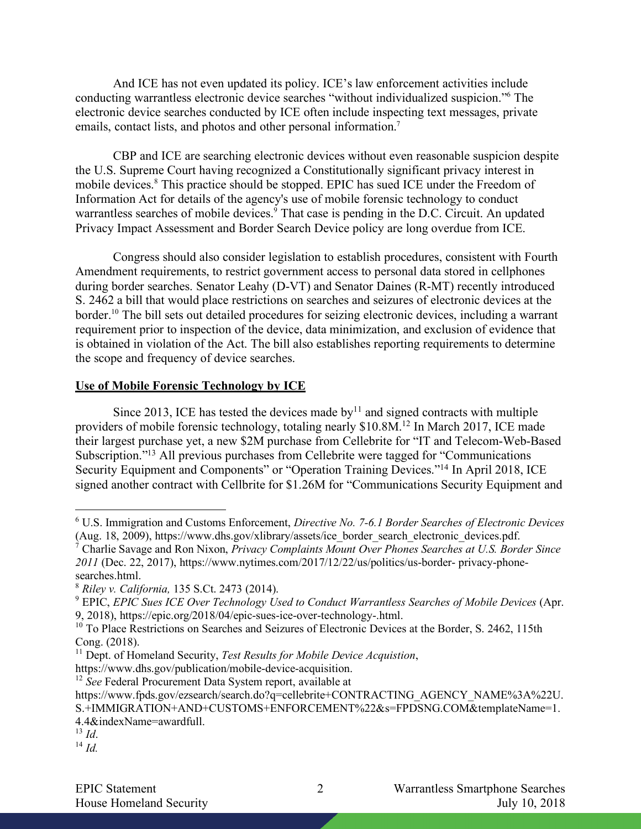And ICE has not even updated its policy. ICE's law enforcement activities include conducting warrantless electronic device searches "without individualized suspicion."6 The electronic device searches conducted by ICE often include inspecting text messages, private emails, contact lists, and photos and other personal information.<sup>7</sup>

CBP and ICE are searching electronic devices without even reasonable suspicion despite the U.S. Supreme Court having recognized a Constitutionally significant privacy interest in mobile devices.<sup>8</sup> This practice should be stopped. EPIC has sued ICE under the Freedom of Information Act for details of the agency's use of mobile forensic technology to conduct warrantless searches of mobile devices.<sup>9</sup> That case is pending in the D.C. Circuit. An updated Privacy Impact Assessment and Border Search Device policy are long overdue from ICE.

Congress should also consider legislation to establish procedures, consistent with Fourth Amendment requirements, to restrict government access to personal data stored in cellphones during border searches. Senator Leahy (D-VT) and Senator Daines (R-MT) recently introduced S. 2462 a bill that would place restrictions on searches and seizures of electronic devices at the border.<sup>10</sup> The bill sets out detailed procedures for seizing electronic devices, including a warrant requirement prior to inspection of the device, data minimization, and exclusion of evidence that is obtained in violation of the Act. The bill also establishes reporting requirements to determine the scope and frequency of device searches.

## **Use of Mobile Forensic Technology by ICE**

Since 2013, ICE has tested the devices made by $11$  and signed contracts with multiple providers of mobile forensic technology, totaling nearly \$10.8M.12 In March 2017, ICE made their largest purchase yet, a new \$2M purchase from Cellebrite for "IT and Telecom-Web-Based Subscription."<sup>13</sup> All previous purchases from Cellebrite were tagged for "Communications" Security Equipment and Components" or "Operation Training Devices."<sup>14</sup> In April 2018, ICE signed another contract with Cellbrite for \$1.26M for "Communications Security Equipment and

https://www.dhs.gov/publication/mobile-device-acquisition.

<sup>12</sup> *See* Federal Procurement Data System report, available at

4.4&indexName=awardfull.

 <sup>6</sup> U.S. Immigration and Customs Enforcement, *Directive No. 7-6.1 Border Searches of Electronic Devices*  (Aug. 18, 2009), https://www.dhs.gov/xlibrary/assets/ice\_border\_search\_electronic\_devices.pdf.<br>
<sup>7</sup> Charlie Savage and Ron Nivon, *Princes: Canadata Material* Content of The Content of The Content of The Content of The Co

<sup>7</sup> Charlie Savage and Ron Nixon, *Privacy Complaints Mount Over Phones Searches at U.S. Border Since 2011* (Dec. 22, 2017), https://www.nytimes.com/2017/12/22/us/politics/us-border- privacy-phonesearches.html.

<sup>8</sup> *Riley v. California,* 135 S.Ct. 2473 (2014).

<sup>9</sup> EPIC, *EPIC Sues ICE Over Technology Used to Conduct Warrantless Searches of Mobile Devices* (Apr. 9, 2018), https://epic.org/2018/04/epic-sues-ice-over-technology-.html.

<sup>&</sup>lt;sup>10</sup> To Place Restrictions on Searches and Seizures of Electronic Devices at the Border, S. 2462, 115th Cong. (2018).

<sup>11</sup> Dept. of Homeland Security, *Test Results for Mobile Device Acquistion*,

https://www.fpds.gov/ezsearch/search.do?q=cellebrite+CONTRACTING\_AGENCY\_NAME%3A%22U. S.+IMMIGRATION+AND+CUSTOMS+ENFORCEMENT%22&s=FPDSNG.COM&templateName=1.

<sup>13</sup> *Id*. <sup>14</sup> *Id.*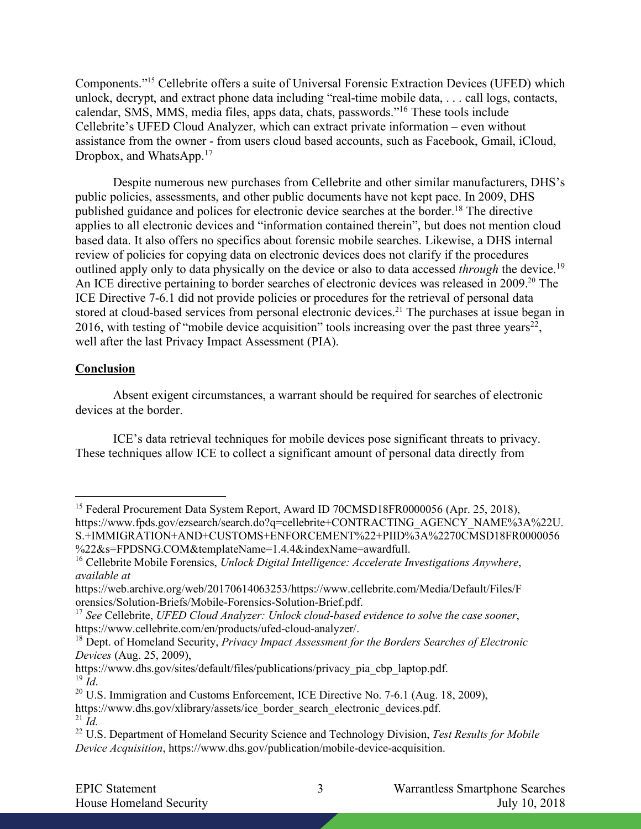Components."15 Cellebrite offers a suite of Universal Forensic Extraction Devices (UFED) which unlock, decrypt, and extract phone data including "real-time mobile data, . . . call logs, contacts, calendar, SMS, MMS, media files, apps data, chats, passwords."16 These tools include Cellebrite's UFED Cloud Analyzer, which can extract private information – even without assistance from the owner - from users cloud based accounts, such as Facebook, Gmail, iCloud, Dropbox, and WhatsApp.<sup>17</sup>

Despite numerous new purchases from Cellebrite and other similar manufacturers, DHS's public policies, assessments, and other public documents have not kept pace. In 2009, DHS published guidance and polices for electronic device searches at the border.18 The directive applies to all electronic devices and "information contained therein", but does not mention cloud based data. It also offers no specifics about forensic mobile searches. Likewise, a DHS internal review of policies for copying data on electronic devices does not clarify if the procedures outlined apply only to data physically on the device or also to data accessed *through* the device.19 An ICE directive pertaining to border searches of electronic devices was released in 2009.<sup>20</sup> The ICE Directive 7-6.1 did not provide policies or procedures for the retrieval of personal data stored at cloud-based services from personal electronic devices.<sup>21</sup> The purchases at issue began in 2016, with testing of "mobile device acquisition" tools increasing over the past three years<sup>22</sup>, well after the last Privacy Impact Assessment (PIA).

## **Conclusion**

Absent exigent circumstances, a warrant should be required for searches of electronic devices at the border.

ICE's data retrieval techniques for mobile devices pose significant threats to privacy. These techniques allow ICE to collect a significant amount of personal data directly from

<sup>&</sup>lt;sup>15</sup> Federal Procurement Data System Report, Award ID 70CMSD18FR0000056 (Apr. 25, 2018), https://www.fpds.gov/ezsearch/search.do?q=cellebrite+CONTRACTING\_AGENCY\_NAME%3A%22U. S.+IMMIGRATION+AND+CUSTOMS+ENFORCEMENT%22+PIID%3A%2270CMSD18FR0000056 %22&s=FPDSNG.COM&templateName=1.4.4&indexName=awardfull.

<sup>16</sup> Cellebrite Mobile Forensics, *Unlock Digital Intelligence: Accelerate Investigations Anywhere*, *available at* 

https://web.archive.org/web/20170614063253/https://www.cellebrite.com/Media/Default/Files/F orensics/Solution-Briefs/Mobile-Forensics-Solution-Brief.pdf.

<sup>17</sup> *See* Cellebrite, *UFED Cloud Analyzer: Unlock cloud-based evidence to solve the case sooner*, https://www.cellebrite.com/en/products/ufed-cloud-analyzer/.

<sup>18</sup> Dept. of Homeland Security, *Privacy Impact Assessment for the Borders Searches of Electronic Devices* (Aug. 25, 2009),

https://www.dhs.gov/sites/default/files/publications/privacy\_pia\_cbp\_laptop.pdf.  $^{19}$   $\tilde{I}$ *d*.

 $20$  U.S. Immigration and Customs Enforcement, ICE Directive No. 7-6.1 (Aug. 18, 2009),

https://www.dhs.gov/xlibrary/assets/ice\_border\_search\_electronic\_devices.pdf. <sup>21</sup> *Id.*

<sup>22</sup> U.S. Department of Homeland Security Science and Technology Division, *Test Results for Mobile Device Acquisition*, https://www.dhs.gov/publication/mobile-device-acquisition.